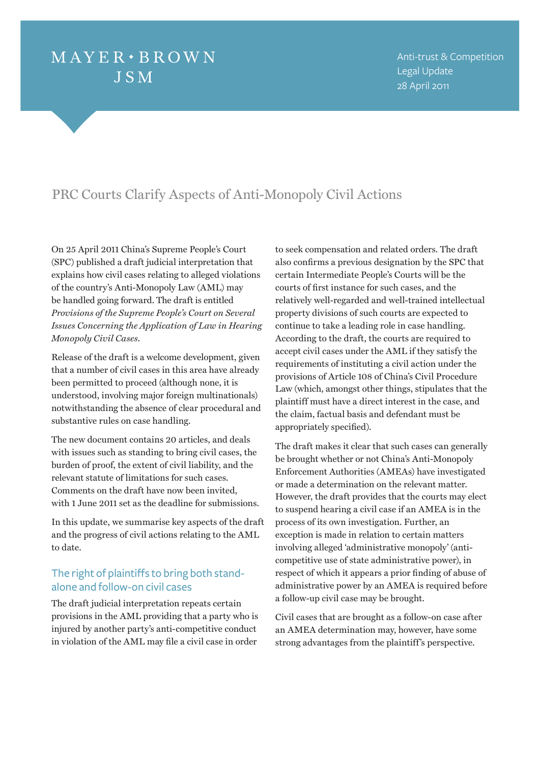# $MAYER \cdot BROWN$ **JSM**

Anti-trust & Competition Legal Update 28 April 2011

## PRC Courts Clarify Aspects of Anti-Monopoly Civil Actions

On 25 April 2011 China's Supreme People's Court (SPC) published a draft judicial interpretation that explains how civil cases relating to alleged violations of the country's Anti-Monopoly Law (AML) may be handled going forward. The draft is entitled *Provisions of the Supreme People's Court on Several Issues Concerning the Application of Law in Hearing Monopoly Civil Cases*.

Release of the draft is a welcome development, given that a number of civil cases in this area have already been permitted to proceed (although none, it is understood, involving major foreign multinationals) notwithstanding the absence of clear procedural and substantive rules on case handling.

The new document contains 20 articles, and deals with issues such as standing to bring civil cases, the burden of proof, the extent of civil liability, and the relevant statute of limitations for such cases. Comments on the draft have now been invited, with 1 June 2011 set as the deadline for submissions.

In this update, we summarise key aspects of the draft and the progress of civil actions relating to the AML to date.

## The right of plaintiffs to bring both standalone and follow-on civil cases

The draft judicial interpretation repeats certain provisions in the AML providing that a party who is injured by another party's anti-competitive conduct in violation of the AML may file a civil case in order to seek compensation and related orders. The draft also confirms a previous designation by the SPC that certain Intermediate People's Courts will be the courts of first instance for such cases, and the relatively well-regarded and well-trained intellectual property divisions of such courts are expected to continue to take a leading role in case handling. According to the draft, the courts are required to accept civil cases under the AML if they satisfy the requirements of instituting a civil action under the provisions of Article 108 of China's Civil Procedure Law (which, amongst other things, stipulates that the plaintiff must have a direct interest in the case, and the claim, factual basis and defendant must be appropriately specified).

The draft makes it clear that such cases can generally be brought whether or not China's Anti-Monopoly Enforcement Authorities (AMEAs) have investigated or made a determination on the relevant matter. However, the draft provides that the courts may elect to suspend hearing a civil case if an AMEA is in the process of its own investigation. Further, an exception is made in relation to certain matters involving alleged 'administrative monopoly' (anticompetitive use of state administrative power), in respect of which it appears a prior finding of abuse of administrative power by an AMEA is required before a follow-up civil case may be brought.

Civil cases that are brought as a follow-on case after an AMEA determination may, however, have some strong advantages from the plaintiff's perspective.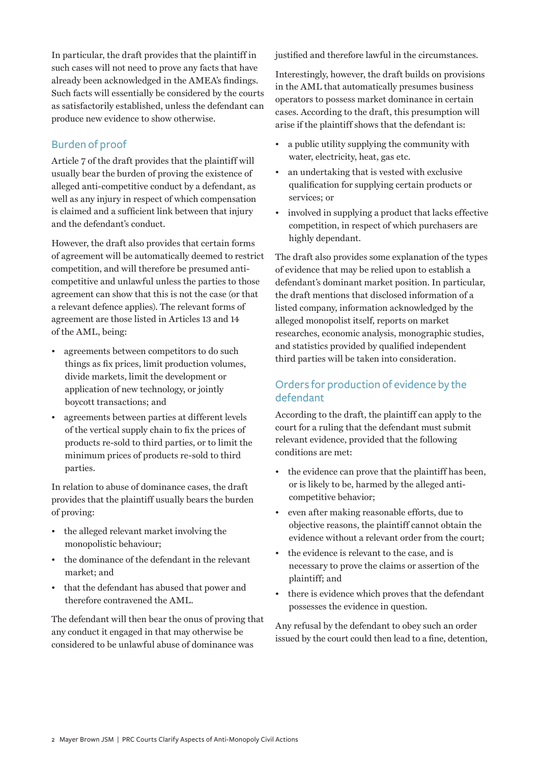In particular, the draft provides that the plaintiff in such cases will not need to prove any facts that have already been acknowledged in the AMEA's findings. Such facts will essentially be considered by the courts as satisfactorily established, unless the defendant can produce new evidence to show otherwise.

## Burden of proof

Article 7 of the draft provides that the plaintiff will usually bear the burden of proving the existence of alleged anti-competitive conduct by a defendant, as well as any injury in respect of which compensation is claimed and a sufficient link between that injury and the defendant's conduct.

However, the draft also provides that certain forms of agreement will be automatically deemed to restrict competition, and will therefore be presumed anticompetitive and unlawful unless the parties to those agreement can show that this is not the case (or that a relevant defence applies). The relevant forms of agreement are those listed in Articles 13 and 14 of the AML, being:

- agreements between competitors to do such things as fix prices, limit production volumes, divide markets, limit the development or application of new technology, or jointly boycott transactions; and
- agreements between parties at different levels of the vertical supply chain to fix the prices of products re-sold to third parties, or to limit the minimum prices of products re-sold to third parties.

In relation to abuse of dominance cases, the draft provides that the plaintiff usually bears the burden of proving:

- the alleged relevant market involving the monopolistic behaviour;
- the dominance of the defendant in the relevant market; and
- that the defendant has abused that power and therefore contravened the AML.

The defendant will then bear the onus of proving that any conduct it engaged in that may otherwise be considered to be unlawful abuse of dominance was

justified and therefore lawful in the circumstances.

Interestingly, however, the draft builds on provisions in the AML that automatically presumes business operators to possess market dominance in certain cases. According to the draft, this presumption will arise if the plaintiff shows that the defendant is:

- a public utility supplying the community with water, electricity, heat, gas etc.
- an undertaking that is vested with exclusive qualification for supplying certain products or services; or
- involved in supplying a product that lacks effective competition, in respect of which purchasers are highly dependant.

The draft also provides some explanation of the types of evidence that may be relied upon to establish a defendant's dominant market position. In particular, the draft mentions that disclosed information of a listed company, information acknowledged by the alleged monopolist itself, reports on market researches, economic analysis, monographic studies, and statistics provided by qualified independent third parties will be taken into consideration.

## Orders for production of evidence by the defendant

According to the draft, the plaintiff can apply to the court for a ruling that the defendant must submit relevant evidence, provided that the following conditions are met:

- the evidence can prove that the plaintiff has been, or is likely to be, harmed by the alleged anticompetitive behavior;
- even after making reasonable efforts, due to objective reasons, the plaintiff cannot obtain the evidence without a relevant order from the court;
- the evidence is relevant to the case, and is necessary to prove the claims or assertion of the plaintiff; and
- there is evidence which proves that the defendant possesses the evidence in question.

Any refusal by the defendant to obey such an order issued by the court could then lead to a fine, detention,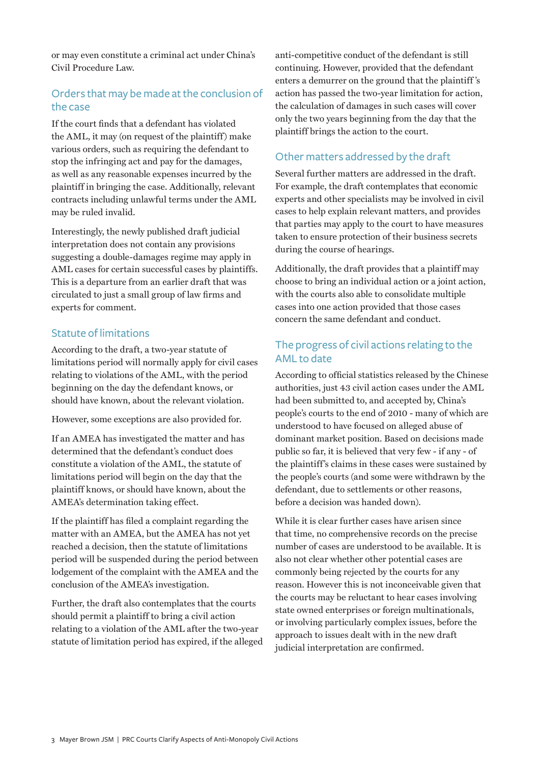or may even constitute a criminal act under China's Civil Procedure Law.

## Orders that may be made at the conclusion of the case

If the court finds that a defendant has violated the AML, it may (on request of the plaintiff) make various orders, such as requiring the defendant to stop the infringing act and pay for the damages, as well as any reasonable expenses incurred by the plaintiff in bringing the case. Additionally, relevant contracts including unlawful terms under the AML may be ruled invalid.

Interestingly, the newly published draft judicial interpretation does not contain any provisions suggesting a double-damages regime may apply in AML cases for certain successful cases by plaintiffs. This is a departure from an earlier draft that was circulated to just a small group of law firms and experts for comment.

#### Statute of limitations

According to the draft, a two-year statute of limitations period will normally apply for civil cases relating to violations of the AML, with the period beginning on the day the defendant knows, or should have known, about the relevant violation.

However, some exceptions are also provided for.

If an AMEA has investigated the matter and has determined that the defendant's conduct does constitute a violation of the AML, the statute of limitations period will begin on the day that the plaintiff knows, or should have known, about the AMEA's determination taking effect.

If the plaintiff has filed a complaint regarding the matter with an AMEA, but the AMEA has not yet reached a decision, then the statute of limitations period will be suspended during the period between lodgement of the complaint with the AMEA and the conclusion of the AMEA's investigation.

Further, the draft also contemplates that the courts should permit a plaintiff to bring a civil action relating to a violation of the AML after the two-year statute of limitation period has expired, if the alleged anti-competitive conduct of the defendant is still continuing. However, provided that the defendant enters a demurrer on the ground that the plaintiff 's action has passed the two-year limitation for action, the calculation of damages in such cases will cover only the two years beginning from the day that the plaintiff brings the action to the court.

#### Other matters addressed by the draft

Several further matters are addressed in the draft. For example, the draft contemplates that economic experts and other specialists may be involved in civil cases to help explain relevant matters, and provides that parties may apply to the court to have measures taken to ensure protection of their business secrets during the course of hearings.

Additionally, the draft provides that a plaintiff may choose to bring an individual action or a joint action, with the courts also able to consolidate multiple cases into one action provided that those cases concern the same defendant and conduct.

## The progress of civil actions relating to the AML to date

According to official statistics released by the Chinese authorities, just 43 civil action cases under the AML had been submitted to, and accepted by, China's people's courts to the end of 2010 - many of which are understood to have focused on alleged abuse of dominant market position. Based on decisions made public so far, it is believed that very few - if any - of the plaintiff's claims in these cases were sustained by the people's courts (and some were withdrawn by the defendant, due to settlements or other reasons, before a decision was handed down).

While it is clear further cases have arisen since that time, no comprehensive records on the precise number of cases are understood to be available. It is also not clear whether other potential cases are commonly being rejected by the courts for any reason. However this is not inconceivable given that the courts may be reluctant to hear cases involving state owned enterprises or foreign multinationals, or involving particularly complex issues, before the approach to issues dealt with in the new draft judicial interpretation are confirmed.